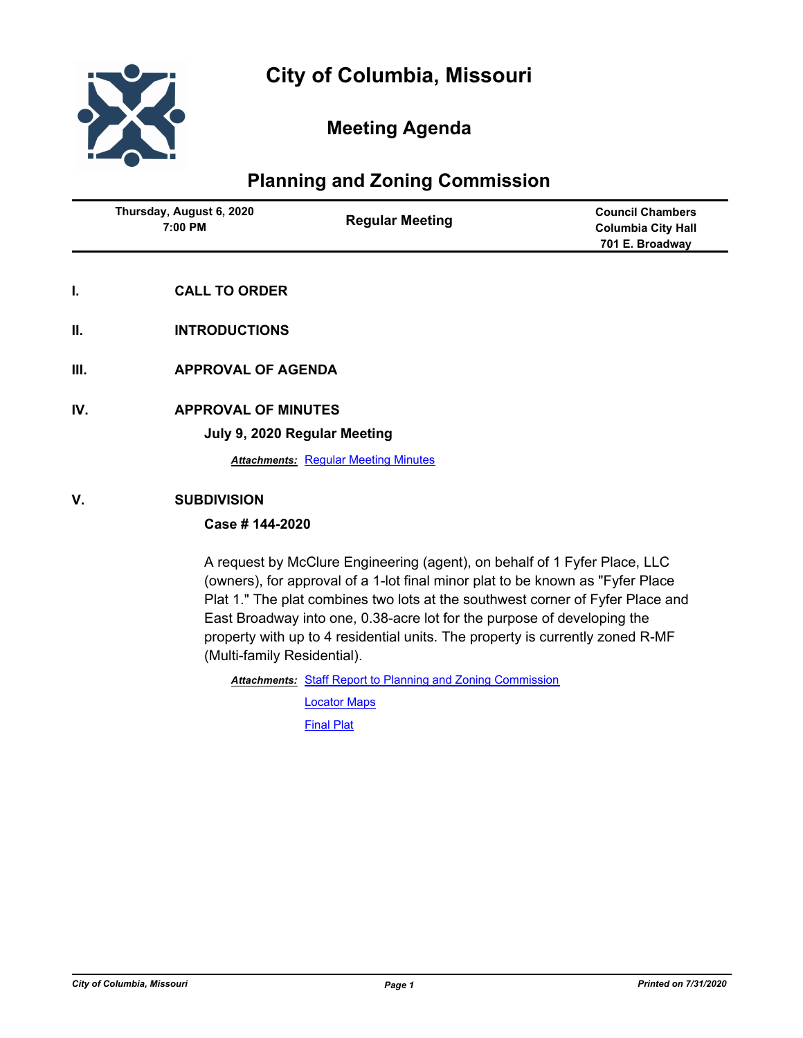

# **Meeting Agenda**

# **Planning and Zoning Commission**

| Thursday, August 6, 2020<br>7:00 PM | <b>Regular Meeting</b> | <b>Council Chambers</b><br><b>Columbia City Hall</b><br>701 E. Broadway |
|-------------------------------------|------------------------|-------------------------------------------------------------------------|
|                                     |                        |                                                                         |

- **I. CALL TO ORDER**
- **II. INTRODUCTIONS**
- **III. APPROVAL OF AGENDA**
- **IV. APPROVAL OF MINUTES**

**July 9, 2020 Regular Meeting**

**Attachments: [Regular Meeting Minutes](http://gocolumbiamo.legistar.com/gateway.aspx?M=F&ID=bb2e7d33-85b4-4fe4-b908-3db19dcf87aa.docx)** 

### **V. SUBDIVISION**

### **Case # 144-2020**

A request by McClure Engineering (agent), on behalf of 1 Fyfer Place, LLC (owners), for approval of a 1-lot final minor plat to be known as "Fyfer Place Plat 1." The plat combines two lots at the southwest corner of Fyfer Place and East Broadway into one, 0.38-acre lot for the purpose of developing the property with up to 4 residential units. The property is currently zoned R-MF (Multi-family Residential).

Attachments: [Staff Report to Planning and Zoning Commission](http://gocolumbiamo.legistar.com/gateway.aspx?M=F&ID=ab7853f3-9edf-4576-b64e-6ea1c4259666.docx)

[Locator Maps](http://gocolumbiamo.legistar.com/gateway.aspx?M=F&ID=d86674c7-a378-4715-9df1-ba8d72be9387.pdf) [Final Plat](http://gocolumbiamo.legistar.com/gateway.aspx?M=F&ID=ef4af902-76fc-469d-8ddd-bd2c118c6da8.pdf)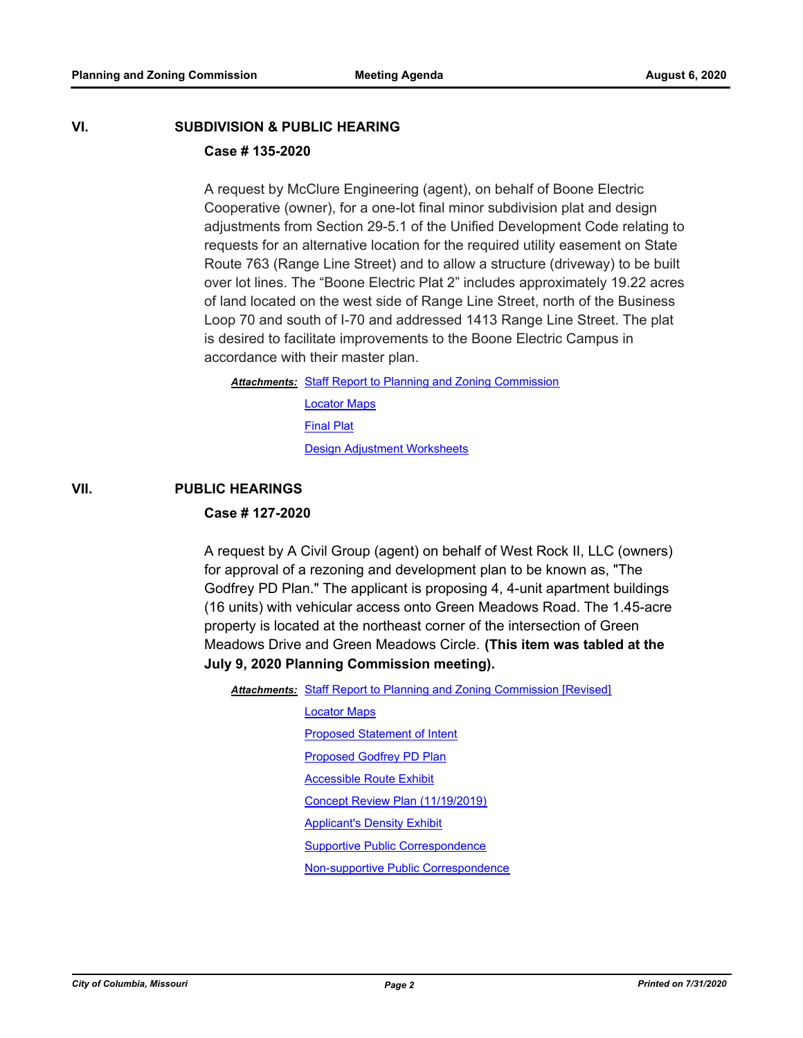## **VI. SUBDIVISION & PUBLIC HEARING Case # 135-2020**

A request by McClure Engineering (agent), on behalf of Boone Electric Cooperative (owner), for a one-lot final minor subdivision plat and design adjustments from Section 29-5.1 of the Unified Development Code relating to requests for an alternative location for the required utility easement on State Route 763 (Range Line Street) and to allow a structure (driveway) to be built over lot lines. The "Boone Electric Plat 2" includes approximately 19.22 acres of land located on the west side of Range Line Street, north of the Business Loop 70 and south of I-70 and addressed 1413 Range Line Street. The plat is desired to facilitate improvements to the Boone Electric Campus in accordance with their master plan.

Attachments: [Staff Report to Planning and Zoning Commission](http://gocolumbiamo.legistar.com/gateway.aspx?M=F&ID=3dc1bd9f-ed5e-4ea1-bed5-cf4d47b569c7.docx)

[Locator Maps](http://gocolumbiamo.legistar.com/gateway.aspx?M=F&ID=fb5f9479-7489-4d38-8986-8b9cabf48201.pdf) [Final Plat](http://gocolumbiamo.legistar.com/gateway.aspx?M=F&ID=ce2dfd2a-7294-43c1-915f-efa306bac1e9.pdf) [Design Adjustment Worksheets](http://gocolumbiamo.legistar.com/gateway.aspx?M=F&ID=18456813-bcdc-4922-b07d-b242fc2adf68.pdf)

#### **VII. PUBLIC HEARINGS**

#### **Case # 127-2020**

A request by A Civil Group (agent) on behalf of West Rock II, LLC (owners) for approval of a rezoning and development plan to be known as, "The Godfrey PD Plan." The applicant is proposing 4, 4-unit apartment buildings (16 units) with vehicular access onto Green Meadows Road. The 1.45-acre property is located at the northeast corner of the intersection of Green Meadows Drive and Green Meadows Circle. **(This item was tabled at the July 9, 2020 Planning Commission meeting).** 

Attachments: [Staff Report to Planning and Zoning Commission \[Revised\]](http://gocolumbiamo.legistar.com/gateway.aspx?M=F&ID=a3ec968a-501b-4a71-a4b6-242626e2b805.docx)

[Locator Maps](http://gocolumbiamo.legistar.com/gateway.aspx?M=F&ID=192f370d-02e6-4c4d-94ae-76a28eca27bf.pdf) [Proposed Statement of Intent](http://gocolumbiamo.legistar.com/gateway.aspx?M=F&ID=d5f90cae-08c3-47fa-9242-7404dc6b2ae4.pdf) [Proposed Godfrey PD Plan](http://gocolumbiamo.legistar.com/gateway.aspx?M=F&ID=4eb818a2-6437-4d63-9395-654d541f3f63.pdf) **[Accessible Route Exhibit](http://gocolumbiamo.legistar.com/gateway.aspx?M=F&ID=fa4f6e49-6dee-41e3-b38f-71c8009ab809.pdf)** [Concept Review Plan \(11/19/2019\)](http://gocolumbiamo.legistar.com/gateway.aspx?M=F&ID=2b61d660-aa4d-4f18-a88c-7f0b58f34416.pdf) [Applicant's Density Exhibit](http://gocolumbiamo.legistar.com/gateway.aspx?M=F&ID=da829055-a878-4d49-b3bd-038ed9c15a5a.pdf) [Supportive Public Correspondence](http://gocolumbiamo.legistar.com/gateway.aspx?M=F&ID=f96ea0a2-756f-4e71-9302-617e4fd52f4f.pdf) [Non-supportive Public Correspondence](http://gocolumbiamo.legistar.com/gateway.aspx?M=F&ID=83624c63-992f-4f94-b18b-fc8822c2e013.pdf)